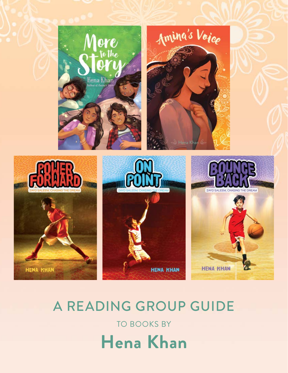

# A READING GROUP GUIDE TO BOOKS BY **Hena Khan**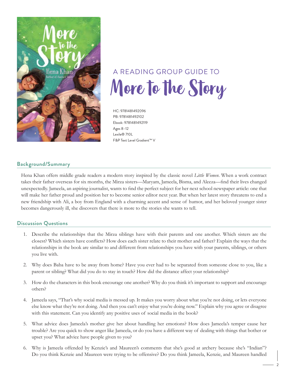

## A READING GROUP GUIDE TO More to the Story

HC: 9781481492096 PB: 9781481492102 Ebook: 9781481492119 Ages 8–12 Lexile® 710L F&P Text Level Gradient™ V

#### **Background/Summary**

Hena Khan offers middle grade readers a modern story inspired by the classic novel *Little Women*. When a work contract takes their father overseas for six months, the Mirza sisters—Maryam, Jameela, Bisma, and Aleeza—find their lives changed unexpectedly. Jameela, an aspiring journalist, wants to find the perfect subject for her next school newspaper article: one that will make her father proud and position her to become senior editor next year. But when her latest story threatens to end a new friendship with Ali, a boy from England with a charming accent and sense of humor, and her beloved younger sister becomes dangerously ill, she discovers that there is more to the stories she wants to tell.

- 1. Describe the relationships that the Mirza siblings have with their parents and one another. Which sisters are the closest? Which sisters have conflicts? How does each sister relate to their mother and father? Explain the ways that the relationships in the book are similar to and different from relationships you have with your parents, siblings, or others you live with.
- 2. Why does Baba have to be away from home? Have you ever had to be separated from someone close to you, like a parent or sibling? What did you do to stay in touch? How did the distance affect your relationship?
- 3. How do the characters in this book encourage one another? Why do you think it's important to support and encourage others?
- 4. Jameela says, "That's why social media is messed up. It makes you worry about what you're not doing, or lets everyone else know what they're not doing. And then you can't enjoy what you're doing now." Explain why you agree or disagree with this statement. Can you identify any positive uses of social media in the book?
- 5. What advice does Jameela's mother give her about handling her emotions? How does Jameela's temper cause her trouble? Are you quick to show anger like Jameela, or do you have a different way of dealing with things that bother or upset you? What advice have people given to you?
- 6. Why is Jameela offended by Kenzie's and Maureen's comments that she's good at archery because she's "Indian"? Do you think Kenzie and Maureen were trying to be offensive? Do you think Jameela, Kenzie, and Maureen handled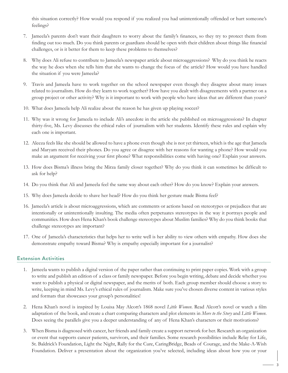this situation correctly? How would you respond if you realized you had unintentionally offended or hurt someone's feelings?

- 7. Jameela's parents don't want their daughters to worry about the family's finances, so they try to protect them from finding out too much. Do you think parents or guardians should be open with their children about things like financial challenges, or is it better for them to keep these problems to themselves?
- 8. Why does Ali refuse to contribute to Jameela's newspaper article about microaggressions? Why do you think he reacts the way he does when she tells him that she wants to change the focus of the article? How would you have handled the situation if you were Jameela?
- 9. Travis and Jameela have to work together on the school newspaper even though they disagree about many issues related to journalism. How do they learn to work together? How have you dealt with disagreements with a partner on a group project or other activity? Why is it important to work with people who have ideas that are different than yours?
- 10. What does Jameela help Ali realize about the reason he has given up playing soccer?
- 11. Why was it wrong for Jameela to include Ali's anecdote in the article she published on microaggressions? In chapter thirty-five, Ms. Levy discusses the ethical rules of journalism with her students. Identify these rules and explain why each one is important.
- 12. Aleeza feels like she should be allowed to have a phone even though she is not yet thirteen, which is the age that Jameela and Maryam received their phones. Do you agree or disagree with her reasons for wanting a phone? How would you make an argument for receiving your first phone? What responsibilities come with having one? Explain your answers.
- 13. How does Bisma's illness bring the Mirza family closer together? Why do you think it can sometimes be difficult to ask for help?
- 14. Do you think that Ali and Jameela feel the same way about each other? How do you know? Explain your answers.
- 15. Why does Jameela decide to shave her head? How do you think her gesture made Bisma feel?
- 16. Jameela's article is about microaggressions, which are comments or actions based on stereotypes or prejudices that are intentionally or unintentionally insulting. The media often perpetuates stereotypes in the way it portrays people and communities. How does Hena Khan's book challenge stereotypes about Muslim families? Why do you think books that challenge stereotypes are important?
- 17. One of Jameela's characteristics that helps her to write well is her ability to view others with empathy. How does she demonstrate empathy toward Bisma? Why is empathy especially important for a journalist?

- 1. Jameela wants to publish a digital version of the paper rather than continuing to print paper copies. Work with a group to write and publish an edition of a class or family newspaper. Before you begin writing, debate and decide whether you want to publish a physical or digital newspaper, and the merits of both. Each group member should choose a story to write, keeping in mind Ms. Levy's ethical rules of journalism. Make sure you've chosen diverse content in various styles and formats that showcases your group's personalities!
- 2. Hena Khan's novel is inspired by Louisa May Alcott's 1868 novel *Little Women*. Read Alcott's novel or watch a film adaptation of the book, and create a chart comparing characters and plot elements in *More to the Story* and *Little Women*. Does seeing the parallels give you a deeper understanding of any of Hena Khan's characters or their motivations?
- 3. When Bisma is diagnosed with cancer, her friends and family create a support network for her. Research an organization or event that supports cancer patients, survivors, and their families. Some research possibilities include Relay for Life, St. Baldrick's Foundation, Light the Night, Rally for the Cure, CaringBridge, Beads of Courage, and the Make-A-Wish Foundation. Deliver a presentation about the organization you've selected, including ideas about how you or your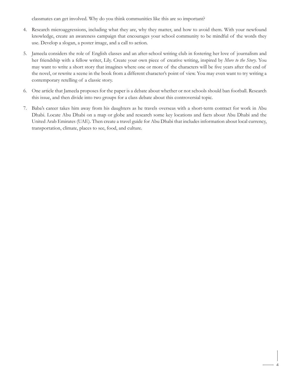classmates can get involved. Why do you think communities like this are so important?

- 4. Research microaggressions, including what they are, why they matter, and how to avoid them. With your newfound knowledge, create an awareness campaign that encourages your school community to be mindful of the words they use. Develop a slogan, a poster image, and a call to action.
- 5. Jameela considers the role of English classes and an after-school writing club in fostering her love of journalism and her friendship with a fellow writer, Lily. Create your own piece of creative writing, inspired by *More to the Story*. You may want to write a short story that imagines where one or more of the characters will be five years after the end of the novel, or rewrite a scene in the book from a different character's point of view. You may even want to try writing a contemporary retelling of a classic story.
- 6. One article that Jameela proposes for the paper is a debate about whether or not schools should ban football. Research this issue, and then divide into two groups for a class debate about this controversial topic.
- 7. Baba's career takes him away from his daughters as he travels overseas with a short-term contract for work in Abu Dhabi. Locate Abu Dhabi on a map or globe and research some key locations and facts about Abu Dhabi and the United Arab Emirates (UAE). Then create a travel guide for Abu Dhabi that includes information about local currency, transportation, climate, places to see, food, and culture.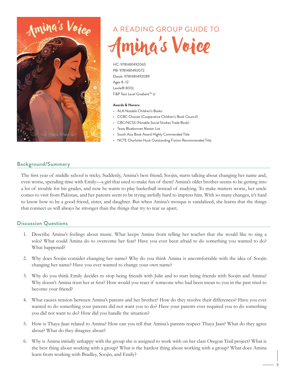

# A READING GROUP GUIDE TO ing's Voice

HC: 9781481492065 PB: 9781481492072 Ebook: 9781481492089 Ages 8–12 Lexile® 800L F&P Text Level Gradient™ U

#### **Awards & Honors:**

- ALA Notable Children's Books
- CCBC Choices (Cooperative Children's Book Council)
- CBC/NCSS (Notable Social Studies Trade Book)
- Texas Bluebonnet Master List
- South Asia Book Award Highly Commended Title
- NCTE Charlotte Huck Outstanding Fiction Recommended Title

#### **Background/Summary**

The first year of middle school is tricky. Suddenly, Amina's best friend, Soojin, starts talking about changing her name and, even worse, spending time with Emily—a girl that used to make fun of them! Amina's older brother seems to be getting into a lot of trouble for his grades, and now he wants to play basketball instead of studying. To make matters worse, her uncle comes to visit from Pakistan, and her parents seem to be trying awfully hard to impress him. With so many changes, it's hard to know how to be a good friend, sister, and daughter. But when Amina's mosque is vandalized, she learns that the things that connect us will always be stronger than the things that try to tear us apart.

- 1. Describe Amina's feelings about music. What keeps Amina from telling her teacher that she would like to sing a solo? What could Amina do to overcome her fear? Have you ever been afraid to do something you wanted to do? What happened?
- 2. Why does Soojin consider changing her name? Why do you think Amina is uncomfortable with the idea of Soojin changing her name? Have you ever wanted to change your own name?
- 3. Why do you think Emily decides to stop being friends with Julie and to start being friends with Soojin and Amina? Why doesn't Amina trust her at first? How would you react if someone who had been mean to you in the past tried to become your friend?
- 4. What causes tension between Amina's parents and her brother? How do they resolve their differences? Have you ever wanted to do something your parents did not want you to do? Have your parents ever required you to do something you did not want to do? How did you handle the situation?
- 5. How is Thaya Jaan related to Amina? How can you tell that Amina's parents respect Thaya Jaan? What do they agree about? What do they disagree about?
- 6. Why is Amina initially unhappy with the group she is assigned to work with on her class Oregon Trail project? What is the best thing about working with a group? What is the hardest thing about working with a group? What does Amina learn from working with Bradley, Soojin, and Emily?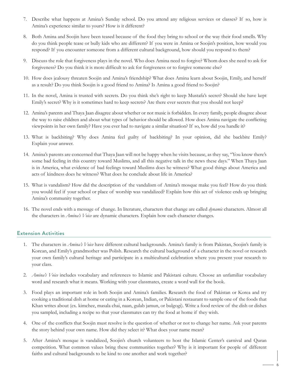- 7. Describe what happens at Amina's Sunday school. Do you attend any religious services or classes? If so, how is Amina's experience similar to yours? How is it different?
- 8. Both Amina and Soojin have been teased because of the food they bring to school or the way their food smells. Why do you think people tease or bully kids who are different? If you were in Amina or Soojin's position, how would you respond? If you encounter someone from a different cultural background, how should you respond to them?
- 9. Discuss the role that forgiveness plays in the novel. Who does Amina need to forgive? Whom does she need to ask for forgiveness? Do you think it is more difficult to ask for forgiveness or to forgive someone else?
- 10. How does jealousy threaten Soojin and Amina's friendship? What does Amina learn about Soojin, Emily, and herself as a result? Do you think Soojin is a good friend to Amina? Is Amina a good friend to Soojin?
- 11. In the novel, Amina is trusted with secrets. Do you think she's right to keep Mustafa's secret? Should she have kept Emily's secret? Why is it sometimes hard to keep secrets? Are there ever secrets that you should not keep?
- 12. Amina's parents and Thaya Jaan disagree about whether or not music is forbidden. In every family, people disagree about the way to raise children and about what types of behavior should be allowed. How does Amina navigate the conflicting viewpoints in her own family? Have you ever had to navigate a similar situation? If so, how did you handle it?
- 13. What is backbiting? Why does Amina feel guilty of backbiting? In your opinion, did she backbite Emily? Explain your answer.
- 14. Amina's parents are concerned that Thaya Jaan will not be happy when he visits because, as they say, "You know there's some bad feeling in this country toward Muslims, and all this negative talk in the news these days." When Thaya Jaan is in America, what evidence of bad feelings toward Muslims does he witness? What good things about America and acts of kindness does he witness? What does he conclude about life in America?
- 15. What is vandalism? How did the description of the vandalism of Amina's mosque make you feel? How do you think you would feel if your school or place of worship was vandalized? Explain how this act of violence ends up bringing Amina's community together.
- 16. The novel ends with a message of change. In literature, characters that change are called *dynamic* characters. Almost all the characters in *Amina's Voice* are dynamic characters. Explain how each character changes.

- 1. The characters in *Amina's Voice* have different cultural backgrounds. Amina's family is from Pakistan, Soojin's family is Korean, and Emily's grandmother was Polish. Research the cultural background of a character in the novel or research your own family's cultural heritage and participate in a multicultural celebration where you present your research to your class.
- 2. *Amina's Voice* includes vocabulary and references to Islamic and Pakistani culture. Choose an unfamiliar vocabulary word and research what it means. Working with your classmates, create a word wall for the book.
- 3. Food plays an important role in both Soojin and Amina's families. Research the food of Pakistan or Korea and try cooking a traditional dish at home or eating in a Korean, Indian, or Pakistani restaurant to sample one of the foods that Khan writes about (ex. kimchee, masala chai, naan, gulab jamun, or bulgogi). Write a food review of the dish or dishes you sampled, including a recipe so that your classmates can try the food at home if they wish.
- 4. One of the conflicts that Soojin must resolve is the question of whether or not to change her name. Ask your parents the story behind your own name. How did they select it? What does your name mean?
- 5. After Amina's mosque is vandalized, Soojin's church volunteers to host the Islamic Center's carnival and Quran competition. What common values bring these communities together? Why is it important for people of different faiths and cultural backgrounds to be kind to one another and work together?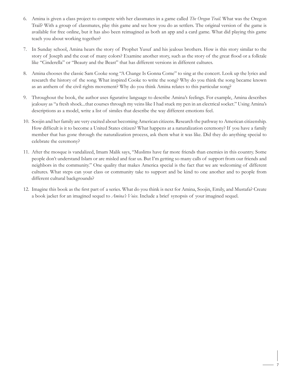- 6. Amina is given a class project to compete with her classmates in a game called *The Oregon Trail*. What was the Oregon Trail? With a group of classmates, play this game and see how you do as settlers. The original version of the game is available for free online, but it has also been reimagined as both an app and a card game. What did playing this game teach you about working together?
- 7. In Sunday school, Amina hears the story of Prophet Yusuf and his jealous brothers. How is this story similar to the story of Joseph and the coat of many colors? Examine another story, such as the story of the great flood or a folktale like "Cinderella" or "Beauty and the Beast" that has different versions in different cultures.
- 8. Amina chooses the classic Sam Cooke song "A Change Is Gonna Come" to sing at the concert. Look up the lyrics and research the history of the song. What inspired Cooke to write the song? Why do you think the song became known as an anthem of the civil rights movement? Why do you think Amina relates to this particular song?
- 9. Throughout the book, the author uses figurative language to describe Amina's feelings. For example, Amina describes jealousy as "a fresh shock...that courses through my veins like I had stuck my pen in an electrical socket." Using Amina's descriptions as a model, write a list of similes that describe the way different emotions feel.
- 10. Soojin and her family are very excited about becoming American citizens. Research the pathway to American citizenship. How difficult is it to become a United States citizen? What happens at a naturalization ceremony? If you have a family member that has gone through the naturalization process, ask them what it was like. Did they do anything special to celebrate the ceremony?
- 11. After the mosque is vandalized, Imam Malik says, "Muslims have far more friends than enemies in this country. Some people don't understand Islam or are misled and fear us. But I'm getting so many calls of support from our friends and neighbors in the community." One quality that makes America special is the fact that we are welcoming of different cultures. What steps can your class or community take to support and be kind to one another and to people from different cultural backgrounds?
- 12. Imagine this book as the first part of a series. What do you think is next for Amina, Soojin, Emily, and Mustafa? Create a book jacket for an imagined sequel to *Amina's Voice*. Include a brief synopsis of your imagined sequel.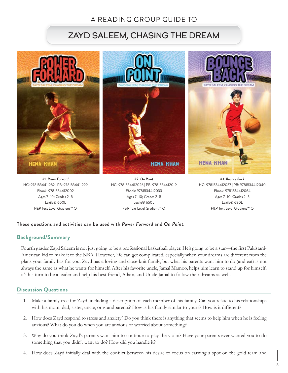### A READING GROUP GUIDE TO

### ZAYD SALEEM, CHASING THE DREAM



Ages 7–10; Grades 2–5 Lexile® 600L F&P Text Level Gradient™ Q

Ages 7–10; Grades 2–5 Lexile® 650L F&P Text Level Gradient™ Q

Ages 7–10; Grades 2–5 Lexile® 680L F&P Text Level Gradient™ Q

#### These questions and activities can be used with *Power Forward* and *On Point.*

#### **Background/Summary**

Fourth grader Zayd Saleem is not just going to be a professional basketball player. He's going to be a star—the first Pakistani-American kid to make it to the NBA. However, life can get complicated, especially when your dreams are different from the plans your family has for you. Zayd has a loving and close-knit family, but what his parents want him to do (and eat) is not always the same as what he wants for himself. After his favorite uncle, Jamal Mamoo, helps him learn to stand up for himself, it's his turn to be a leader and help his best friend, Adam, and Uncle Jamal to follow their dreams as well.

- 1. Make a family tree for Zayd, including a description of each member of his family. Can you relate to his relationships with his mom, dad, sister, uncle, or grandparents? How is his family similar to yours? How is it different?
- 2. How does Zayd respond to stress and anxiety? Do you think there is anything that seems to help him when he is feeling anxious? What do you do when you are anxious or worried about something?
- 3. Why do you think Zayd's parents want him to continue to play the violin? Have your parents ever wanted you to do something that you didn't want to do? How did you handle it?
- 4. How does Zayd initially deal with the conflict between his desire to focus on earning a spot on the gold team and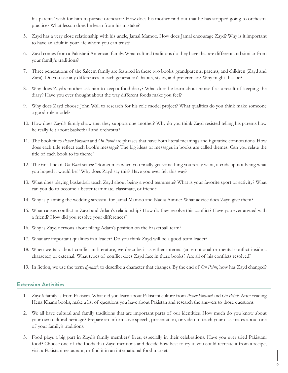his parents' wish for him to pursue orchestra? How does his mother find out that he has stopped going to orchestra practice? What lesson does he learn from his mistake?

- 5. Zayd has a very close relationship with his uncle, Jamal Mamoo. How does Jamal encourage Zayd? Why is it important to have an adult in your life whom you can trust?
- 6. Zayd comes from a Pakistani American family. What cultural traditions do they have that are different and similar from your family's traditions?
- 7. Three generations of the Saleem family are featured in these two books: grandparents, parents, and children (Zayd and Zara). Do you see any differences in each generation's habits, styles, and preferences? Why might that be?
- 8. Why does Zayd's mother ask him to keep a food diary? What does he learn about himself as a result of keeping the diary? Have you ever thought about the way different foods make you feel?
- 9. Why does Zayd choose John Wall to research for his role model project? What qualities do you think make someone a good role model?
- 10. How does Zayd's family show that they support one another? Why do you think Zayd resisted telling his parents how he really felt about basketball and orchestra?
- 11. The book titles *Power Forward* and *On Point* are phrases that have both literal meanings and figurative connotations. How does each title reflect each book's message? The big ideas or messages in books are called themes. Can you relate the title of each book to its theme?
- 12. The first line of *On Point* states: "Sometimes when you finally get something you really want, it ends up not being what you hoped it would be." Why does Zayd say this? Have you ever felt this way?
- 13. What does playing basketball teach Zayd about being a good teammate? What is your favorite sport or activity? What can you do to become a better teammate, classmate, or friend?
- 14. Why is planning the wedding stressful for Jamal Mamoo and Nadia Auntie? What advice does Zayd give them?
- 15. What causes conflict in Zayd and Adam's relationship? How do they resolve this conflict? Have you ever argued with a friend? How did you resolve your differences?
- 16. Why is Zayd nervous about filling Adam's position on the basketball team?
- 17. What are important qualities in a leader? Do you think Zayd will be a good team leader?
- 18. When we talk about conflict in literature, we describe it as either internal (an emotional or mental conflict inside a character) or external. What types of conflict does Zayd face in these books? Are all of his conflicts resolved?
- 19. In fiction, we use the term *dynamic* to describe a character that changes. By the end of *On Point*, how has Zayd changed?

- 1. Zayd's family is from Pakistan. What did you learn about Pakistani culture from *Power Forward* and *On Point*? After reading Hena Khan's books, make a list of questions you have about Pakistan and research the answers to those questions.
- 2. We all have cultural and family traditions that are important parts of our identities. How much do you know about your own cultural heritage? Prepare an informative speech, presentation, or video to teach your classmates about one of your family's traditions.
- 3. Food plays a big part in Zayd's family members' lives, especially in their celebrations. Have you ever tried Pakistani food? Choose one of the foods that Zayd mentions and decide how best to try it; you could recreate it from a recipe, visit a Pakistani restaurant, or find it in an international food market.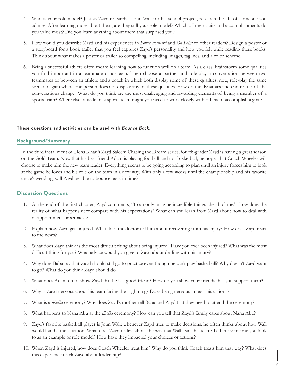- 4. Who is your role model? Just as Zayd researches John Wall for his school project, research the life of someone you admire. After learning more about them, are they still your role model? Which of their traits and accomplishments do you value most? Did you learn anything about them that surprised you?
- 5. How would you describe Zayd and his experiences in *Power Forward* and *On Point* to other readers? Design a poster or a storyboard for a book trailer that you feel captures Zayd's personality and how you felt while reading these books. Think about what makes a poster or trailer so compelling, including images, taglines, and a color scheme.
- 6. Being a successful athlete often means learning how to function well on a team. As a class, brainstorm some qualities you find important in a teammate or a coach. Then choose a partner and role-play a conversation between two teammates or between an athlete and a coach in which both display some of these qualities; now, role-play the same scenario again where one person does not display any of these qualities. How do the dynamics and end results of the conversations change? What do you think are the most challenging and rewarding elements of being a member of a sports team? Where else outside of a sports team might you need to work closely with others to accomplish a goal?

#### These questions and activities can be used with *Bounce Back*.

#### **Background/Summary**

In the third installment of Hena Khan's Zayd Saleem Chasing the Dream series, fourth-grader Zayd is having a great season on the Gold Team. Now that his best friend Adam is playing football and not basketball, he hopes that Coach Wheeler will choose to make him the new team leader. Everything seems to be going according to plan until an injury forces him to look at the game he loves and his role on the team in a new way. With only a few weeks until the championship and his favorite uncle's wedding, will Zayd be able to bounce back in time?

- 1. At the end of the first chapter, Zayd comments, "I can only imagine incredible things ahead of me." How does the reality of what happens next compare with his expectations? What can you learn from Zayd about how to deal with disappointment or setbacks?
- 2. Explain how Zayd gets injured. What does the doctor tell him about recovering from his injury? How does Zayd react to the news?
- 3. What does Zayd think is the most difficult thing about being injured? Have you ever been injured? What was the most difficult thing for you? What advice would you give to Zayd about dealing with his injury?
- 4. Why does Baba say that Zayd should still go to practice even though he can't play basketball? Why doesn't Zayd want to go? What do you think Zayd should do?
- 5. What does Adam do to show Zayd that he is a good friend? How do you show your friends that you support them?
- 6. Why is Zayd nervous about his team facing the Lightning? Does being nervous impact his actions?
- 7. What is a *dholki* ceremony? Why does Zayd's mother tell Baba and Zayd that they need to attend the ceremony?
- 8. What happens to Nana Abu at the *dholki* ceremony? How can you tell that Zayd's family cares about Nana Abu?
- 9. Zayd's favorite basketball player is John Wall; whenever Zayd tries to make decisions, he often thinks about how Wall would handle the situation. What does Zayd realize about the way that Wall leads his team? Is there someone you look to as an example or role model? How have they impacted your choices or actions?
- 10. When Zayd is injured, how does Coach Wheeler treat him? Why do you think Coach treats him that way? What does this experience teach Zayd about leadership?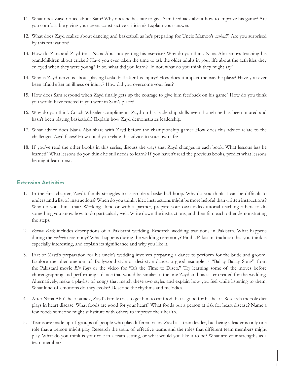- 11. What does Zayd notice about Sam? Why does he hesitate to give Sam feedback about how to improve his game? Are you comfortable giving your peers constructive criticism? Explain your answer.
- 12. What does Zayd realize about dancing and basketball as he's preparing for Uncle Mamoo's *mehndi*? Are you surprised by this realization?
- 13. How do Zara and Zayd trick Nana Abu into getting his exercise? Why do you think Nana Abu enjoys teaching his grandchildren about cricket? Have you ever taken the time to ask the older adults in your life about the activities they enjoyed when they were young? If so, what did you learn? If not, what do you think they might say?
- 14. Why is Zayd nervous about playing basketball after his injury? How does it impact the way he plays? Have you ever been afraid after an illness or injury? How did you overcome your fear?
- 15. How does Sam respond when Zayd finally gets up the courage to give him feedback on his game? How do you think you would have reacted if you were in Sam's place?
- 16. Why do you think Coach Wheeler compliments Zayd on his leadership skills even though he has been injured and hasn't been playing basketball? Explain how Zayd demonstrates leadership.
- 17. What advice does Nana Abu share with Zayd before the championship game? How does this advice relate to the challenges Zayd faces? How could you relate this advice to your own life?
- 18. If you've read the other books in this series, discuss the ways that Zayd changes in each book. What lessons has he learned? What lessons do you think he still needs to learn? If you haven't read the previous books, predict what lessons he might learn next.

- 1. In the first chapter, Zayd's family struggles to assemble a basketball hoop. Why do you think it can be difficult to understand a list of instructions? When do you think video instructions might be more helpful than written instructions? Why do you think that? Working alone or with a partner, prepare your own video tutorial teaching others to do something you know how to do particularly well. Write down the instructions, and then film each other demonstrating the steps.
- 2. *Bounce Back* includes descriptions of a Pakistani wedding. Research wedding traditions in Pakistan. What happens during the *mehndi* ceremony? What happens during the wedding ceremony? Find a Pakistani tradition that you think is especially interesting, and explain its significance and why you like it.
- 3. Part of Zayd's preparation for his uncle's wedding involves preparing a dance to perform for the bride and groom. Explore the phenomenon of Bollywood-style or desi-style dance; a good example is "Ballay Ballay Song" from the Pakistani movie *Bin Roye* or the video for "It's the Time to Disco." Try learning some of the moves before choreographing and performing a dance that would be similar to the one Zayd and his sister created for the wedding. Alternatively, make a playlist of songs that match these two styles and explain how you feel while listening to them. What kind of emotions do they evoke? Describe the rhythms and melodies.
- 4. After Nana Abu's heart attack, Zayd's family tries to get him to eat food that is good for his heart. Research the role diet plays in heart disease. What foods are good for your heart? What foods put a person at risk for heart disease? Name a few foods someone might substitute with others to improve their health.
- 5. Teams are made up of groups of people who play different roles. Zayd is a team leader, but being a leader is only one role that a person might play. Research the traits of effective teams and the roles that different team members might play. What do you think is your role in a team setting, or what would you like it to be? What are your strengths as a team member?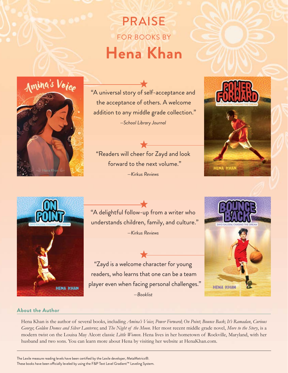## PRAISE FOR BOOKS BY **Hena Khan**



"A universal story of self-acceptance and the acceptance of others. A welcome addition to any middle grade collection." *—School Library Journal*

"Readers will cheer for Zayd and look forward to the next volume." *—Kirkus Reviews*





"A delightful follow-up from a writer who understands children, family, and culture." *—Kirkus Reviews*

"Zayd is a welcome character for young readers, who learns that one can be a team player even when facing personal challenges." *—Booklist*



#### **About the Author**

Hena Khan is the author of several books, including *Amina's Voice*; *Power Forward*; *On Point*; *Bounce Back*; *It's Ramadan*, *Curious George*; *Golden Domes and Silver Lanterns*; and *The Night of the Moon*. Her most recent middle grade novel, *More to the Story*, is a modern twist on the Louisa May Alcott classic *Little Women*. Hena lives in her hometown of Rockville, Maryland, with her husband and two sons. You can learn more about Hena by visiting her website at HenaKhan.com.

The Lexile measure reading levels have been certified by the Lexile developer, MetaMetrics®. These books have been officially leveled by using the F&P Text Level Gradient™ Leveling System.